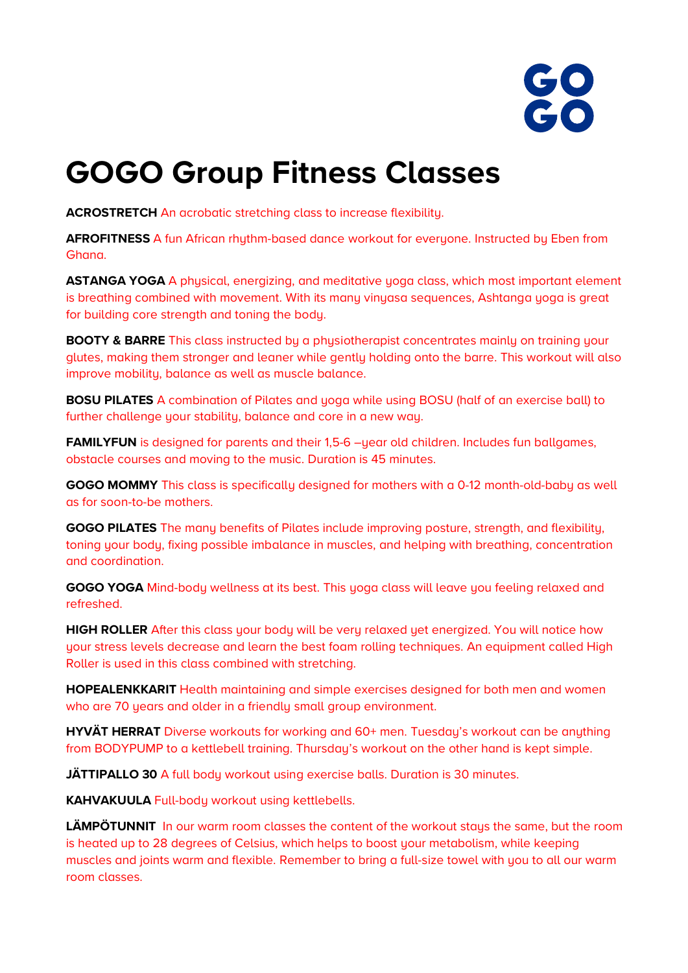## **GOGO Group Fitness Classes**

**ACROSTRETCH** An acrobatic stretching class to increase flexibility.

**AFROFITNESS** A fun African rhythm-based dance workout for everyone. Instructed by Eben from Ghana.

**ASTANGA YOGA** A physical, energizing, and meditative yoga class, which most important element is breathing combined with movement. With its many vinyasa sequences, Ashtanga yoga is great for building core strength and toning the body.

**BOOTY & BARRE** This class instructed by a physiotherapist concentrates mainly on training your glutes, making them stronger and leaner while gently holding onto the barre. This workout will also improve mobility, balance as well as muscle balance.

**BOSU PILATES** A combination of Pilates and yoga while using BOSU (half of an exercise ball) to further challenge your stability, balance and core in a new way.

**FAMILYFUN** is designed for parents and their 1,5-6 –year old children. Includes fun ballgames, obstacle courses and moving to the music. Duration is 45 minutes.

**GOGO MOMMY** This class is specifically designed for mothers with a 0-12 month-old-baby as well as for soon-to-be mothers.

**GOGO PILATES** The many benefits of Pilates include improving posture, strength, and flexibility, toning your body, fixing possible imbalance in muscles, and helping with breathing, concentration and coordination.

**GOGO YOGA** Mind-body wellness at its best. This yoga class will leave you feeling relaxed and refreshed.

**HIGH ROLLER** After this class your body will be very relaxed yet energized. You will notice how your stress levels decrease and learn the best foam rolling techniques. An equipment called High Roller is used in this class combined with stretching.

**HOPEALENKKARIT** Health maintaining and simple exercises designed for both men and women who are 70 years and older in a friendly small group environment.

**HYVÄT HERRAT** Diverse workouts for working and 60+ men. Tuesday's workout can be anything from BODYPUMP to a kettlebell training. Thursday's workout on the other hand is kept simple.

**JÄTTIPALLO 30** A full body workout using exercise balls. Duration is 30 minutes.

**KAHVAKUULA** Full-body workout using kettlebells.

**LÄMPÖTUNNIT** In our warm room classes the content of the workout stays the same, but the room is heated up to 28 degrees of Celsius, which helps to boost your metabolism, while keeping muscles and joints warm and flexible. Remember to bring a full-size towel with you to all our warm room classes.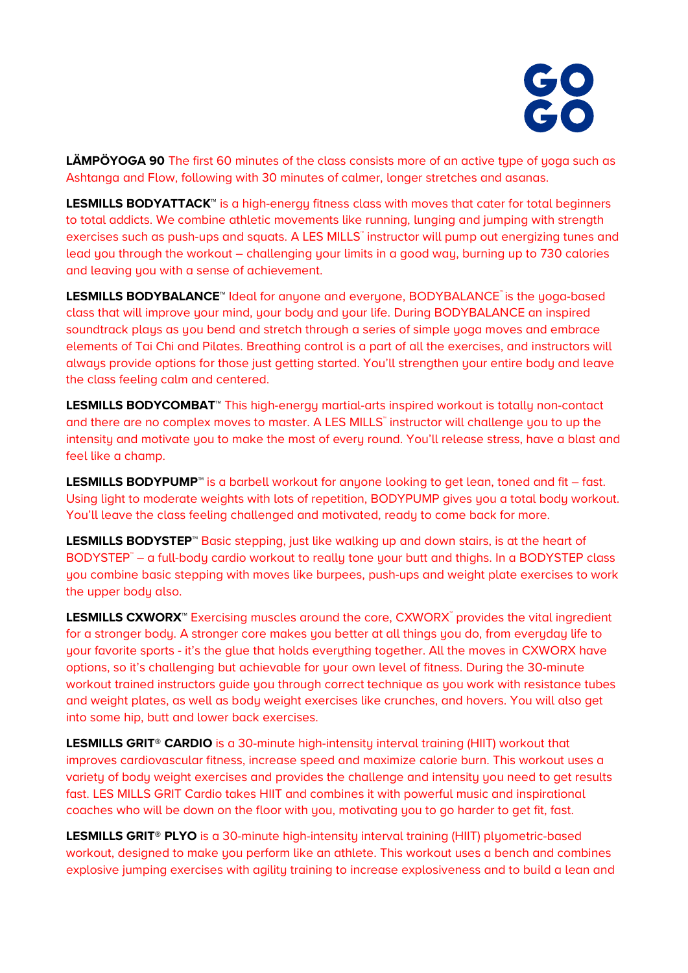

**LÄMPÖYOGA 90** The first 60 minutes of the class consists more of an active tupe of yoga such as Ashtanga and Flow, following with 30 minutes of calmer, longer stretches and asanas.

**LESMILLS BODYATTACK<sup>™</sup> is a high-energy fitness class with moves that cater for total beginners** to total addicts. We combine athletic movements like running, lunging and jumping with strength exercises such as push-ups and squats. A LES MILLS™ instructor will pump out energizing tunes and lead you through the workout – challenging your limits in a good way, burning up to 730 calories and leaving you with a sense of achievement.

LESMILLS BODYBALANCE<sup>™</sup> Ideal for anyone and everyone, BODYBALANCE<sup>™</sup> is the yoga-based class that will improve your mind, your body and your life. During BODYBALANCE an inspired soundtrack plays as you bend and stretch through a series of simple yoga moves and embrace elements of Tai Chi and Pilates. Breathing control is a part of all the exercises, and instructors will always provide options for those just getting started. You'll strengthen your entire body and leave the class feeling calm and centered.

**LESMILLS BODYCOMBAT™** This high-energy martial-arts inspired workout is totally non-contact and there are no complex moves to master. A LES MILLS™ instructor will challenge you to up the intensity and motivate you to make the most of every round. You'll release stress, have a blast and feel like a champ.

**LESMILLS BODYPUMP<sup>™</sup> is a barbell workout for anyone looking to get lean, toned and fit – fast.** Using light to moderate weights with lots of repetition, BODYPUMP gives you a total body workout. You'll leave the class feeling challenged and motivated, ready to come back for more.

**LESMILLS BODYSTEP<sup>™</sup> Basic stepping, just like walking up and down stairs, is at the heart of** BODYSTEP<sup>®</sup> – a full-body cardio workout to really tone your butt and thighs. In a BODYSTEP class you combine basic stepping with moves like burpees, push-ups and weight plate exercises to work the upper body also.

LESMILLS CXWORX<sup>™</sup> Exercising muscles around the core, CXWORX<sup>™</sup> provides the vital ingredient for a stronger body. A stronger core makes you better at all things you do, from everyday life to your favorite sports - it's the glue that holds everything together. All the moves in CXWORX have options, so it's challenging but achievable for your own level of fitness. During the 30-minute workout trained instructors guide you through correct technique as you work with resistance tubes and weight plates, as well as body weight exercises like crunches, and hovers. You will also get into some hip, butt and lower back exercises.

**LESMILLS GRIT® CARDIO** is a 30-minute high-intensity interval training (HIIT) workout that improves cardiovascular fitness, increase speed and maximize calorie burn. This workout uses a variety of body weight exercises and provides the challenge and intensity you need to get results fast. LES MILLS GRIT Cardio takes HIIT and combines it with powerful music and inspirational coaches who will be down on the floor with you, motivating you to go harder to get fit, fast.

**LESMILLS GRIT® PLYO** is a 30-minute high-intensity interval training (HIIT) plyometric-based workout, designed to make you perform like an athlete. This workout uses a bench and combines explosive jumping exercises with agility training to increase explosiveness and to build a lean and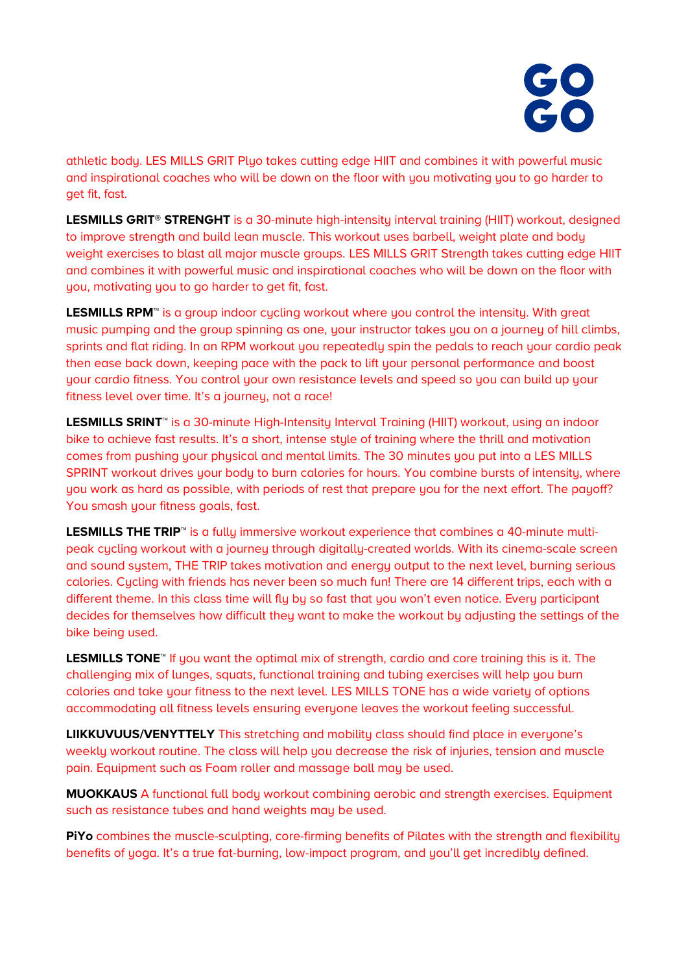

athletic body. LES MILLS GRIT Plyo takes cutting edge HIIT and combines it with powerful music and inspirational coaches who will be down on the floor with you motivating you to go harder to get fit, fast.

**LESMILLS GRIT® STRENGHT** is a 30-minute high-intensity interval training (HIIT) workout, designed to improve strength and build lean muscle. This workout uses barbell, weight plate and body weight exercises to blast all major muscle groups. LES MILLS GRIT Strength takes cutting edge HIIT and combines it with powerful music and inspirational coaches who will be down on the floor with you, motivating you to go harder to get fit, fast.

**LESMILLS RPM<sup>™</sup> is a group indoor cycling workout where you control the intensity. With great** music pumping and the group spinning as one, your instructor takes you on a journey of hill climbs, sprints and flat riding. In an RPM workout you repeatedly spin the pedals to reach your cardio peak then ease back down, keeping pace with the pack to lift your personal performance and boost your cardio fitness. You control your own resistance levels and speed so you can build up your fitness level over time. It's a journey, not a race!

**LESMILLS SRINT™** is a 30-minute High-Intensity Interval Training (HIIT) workout, using an indoor bike to achieve fast results. It's a short, intense style of training where the thrill and motivation comes from pushing your physical and mental limits. The 30 minutes you put into a LES MILLS SPRINT workout drives your body to burn calories for hours. You combine bursts of intensity, where you work as hard as possible, with periods of rest that prepare you for the next effort. The payoff? You smash your fitness goals, fast.

**LESMILLS THE TRIP<sup>™</sup> is a fully immersive workout experience that combines a 40-minute multi**peak cycling workout with a journey through digitally-created worlds. With its cinema-scale screen and sound system, THE TRIP takes motivation and energy output to the next level, burning serious calories. Cycling with friends has never been so much fun! There are 14 different trips, each with a different theme. In this class time will fly by so fast that you won't even notice. Every participant decides for themselves how difficult they want to make the workout by adjusting the settings of the bike being used.

**LESMILLS TONE<sup>™</sup>** If you want the optimal mix of strength, cardio and core training this is it. The challenging mix of lunges, squats, functional training and tubing exercises will help you burn calories and take your fitness to the next level. LES MILLS TONE has a wide variety of options accommodating all fitness levels ensuring everyone leaves the workout feeling successful.

**LIIKKUVUUS/VENYTTELY** This stretching and mobility class should find place in everyone's weekly workout routine. The class will help you decrease the risk of injuries, tension and muscle pain. Equipment such as Foam roller and massage ball may be used.

**MUOKKAUS** A functional full body workout combining aerobic and strength exercises. Equipment such as resistance tubes and hand weights may be used.

**PiYo** combines the muscle-sculpting, core-firming benefits of Pilates with the strength and flexibility benefits of yoga. It's a true fat-burning, low-impact program, and you'll get incredibly defined.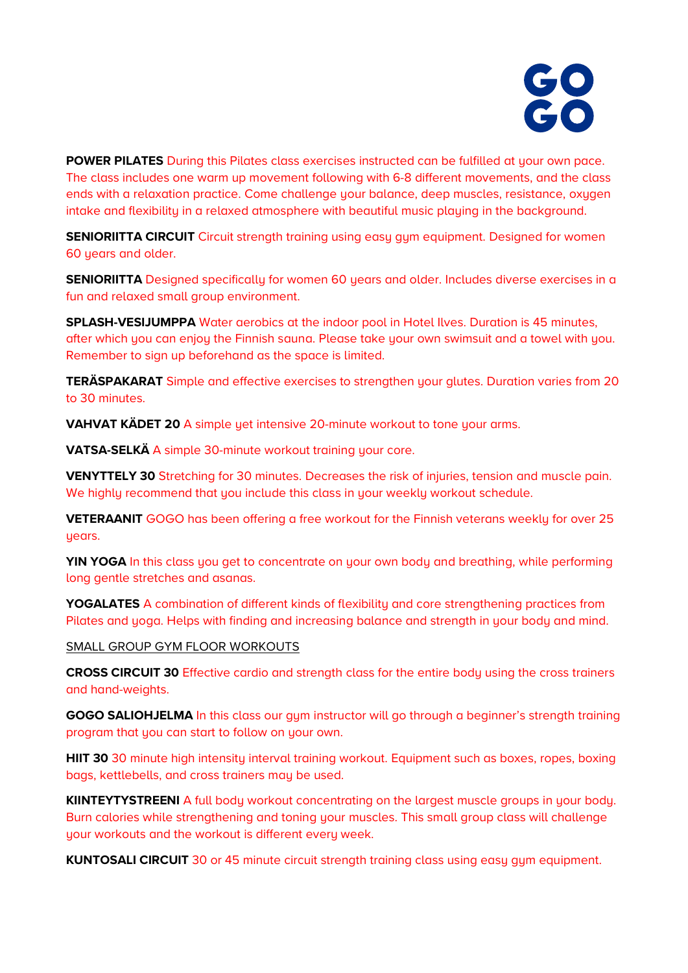

**POWER PILATES** During this Pilates class exercises instructed can be fulfilled at your own pace. The class includes one warm up movement following with 6-8 different movements, and the class ends with a relaxation practice. Come challenge your balance, deep muscles, resistance, oxygen intake and flexibilitu in a relaxed atmosphere with beautiful music playing in the background.

**SENIORIITTA CIRCUIT** Circuit strength training using easy gym equipment. Designed for women 60 years and older.

**SENIORIITTA** Designed specifically for women 60 years and older. Includes diverse exercises in a fun and relaxed small group environment.

**SPLASH-VESIJUMPPA** Water aerobics at the indoor pool in Hotel Ilves. Duration is 45 minutes, after which you can enjoy the Finnish sauna. Please take your own swimsuit and a towel with you. Remember to sign up beforehand as the space is limited.

**TERÄSPAKARAT** Simple and effective exercises to strengthen your glutes. Duration varies from 20 to 30 minutes.

**VAHVAT KÄDET 20** A simple yet intensive 20-minute workout to tone your arms.

**VATSA-SELKÄ** A simple 30-minute workout training your core.

**VENYTTELY 30** Stretching for 30 minutes. Decreases the risk of injuries, tension and muscle pain. We highly recommend that you include this class in your weekly workout schedule.

**VETERAANIT** GOGO has been offering a free workout for the Finnish veterans weekly for over 25 years.

**YIN YOGA** In this class you get to concentrate on your own body and breathing, while performing long gentle stretches and asanas.

**YOGALATES** A combination of different kinds of flexibility and core strengthening practices from Pilates and yoga. Helps with finding and increasing balance and strength in your body and mind.

## SMALL GROUP GYM FLOOR WORKOUTS

**CROSS CIRCUIT 30** Effective cardio and strength class for the entire body using the cross trainers and hand-weights.

**GOGO SALIOHJELMA** In this class our gym instructor will go through a beginner's strength training program that you can start to follow on your own.

**HIIT 30** 30 minute high intensity interval training workout. Equipment such as boxes, ropes, boxing bags, kettlebells, and cross trainers may be used.

**KIINTEYTYSTREENI** A full body workout concentrating on the largest muscle groups in your body. Burn calories while strengthening and toning your muscles. This small group class will challenge your workouts and the workout is different every week.

**KUNTOSALI CIRCUIT** 30 or 45 minute circuit strength training class using easy gym equipment.